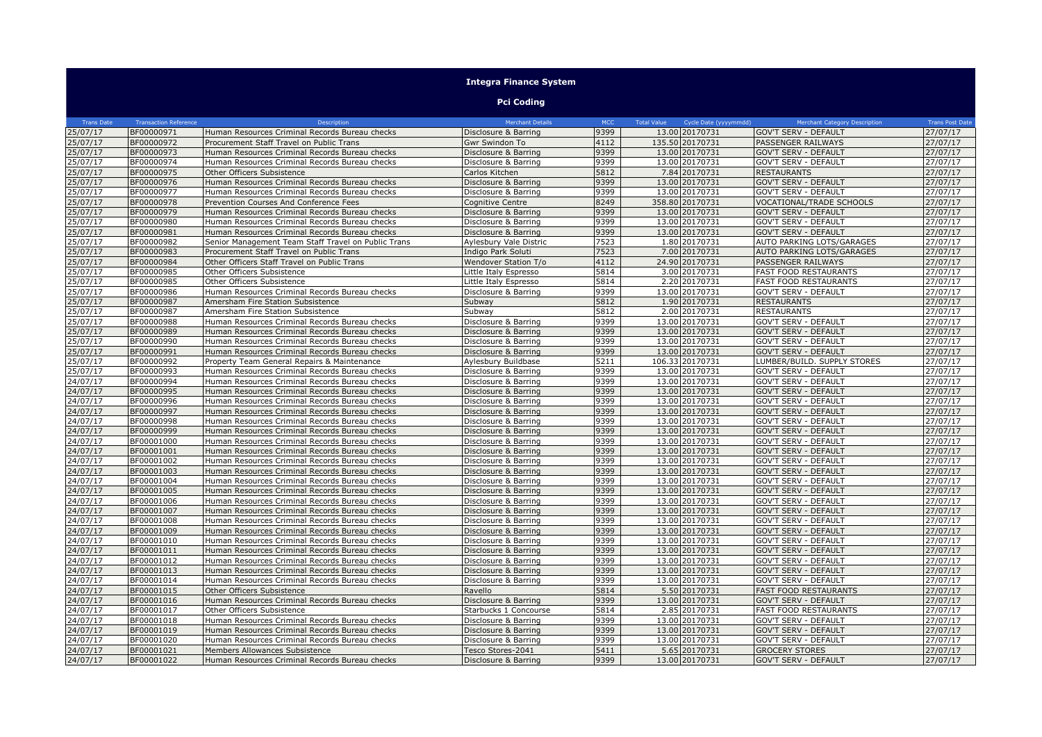|                   |                              |                                                     | <b>Integra Finance System</b> |            |                                             |                                 |                        |
|-------------------|------------------------------|-----------------------------------------------------|-------------------------------|------------|---------------------------------------------|---------------------------------|------------------------|
|                   |                              |                                                     | <b>Pci Coding</b>             |            |                                             |                                 |                        |
| <b>Trans Date</b> | <b>Transaction Reference</b> | Description                                         | <b>Merchant Details</b>       | <b>MCC</b> | <b>Total Value</b><br>Cycle Date (yyyymmdd) | Merchant Category Description   | <b>Trans Post Date</b> |
| 25/07/17          | BF00000971                   | Human Resources Criminal Records Bureau checks      | Disclosure & Barring          | 9399       | 13.00 20170731                              | <b>GOV'T SERV - DEFAULT</b>     | 27/07/17               |
| 25/07/17          | BF00000972                   | Procurement Staff Travel on Public Trans            | Gwr Swindon To                | 4112       | 135.50 20170731                             | PASSENGER RAILWAYS              | 27/07/17               |
| !5/07/17          | BF00000973                   | Human Resources Criminal Records Bureau checks      | Disclosure & Barring          | 9399       | 13.00 20170731                              | <b>GOV'T SERV - DEFAULT</b>     | 27/07/17               |
| 25/07/17          | BF00000974                   | Human Resources Criminal Records Bureau checks      | Disclosure & Barring          | 9399       | 13.00 20170731                              | <b>GOV'T SERV - DEFAULT</b>     | 27/07/17               |
| !5/07/17          | BF00000975                   | Other Officers Subsistence                          | Carlos Kitchen                | 5812       | 7.84 20170731                               | <b>RESTAURANTS</b>              | 27/07/17               |
| 25/07/17          | BF00000976                   | Human Resources Criminal Records Bureau checks      | Disclosure & Barring          | 9399       | 13.00 20170731                              | <b>GOV'T SERV - DEFAULT</b>     | 27/07/17               |
| !5/07/17          | BF00000977                   | Human Resources Criminal Records Bureau checks      | Disclosure & Barring          | 9399       | 13.00 20170731                              | <b>GOV'T SERV - DEFAULT</b>     | 27/07/17               |
| 25/07/17          | BF00000978                   | Prevention Courses And Conference Fees              | Cognitive Centre              | 8249       | 358.80 20170731                             | <b>VOCATIONAL/TRADE SCHOOLS</b> | 27/07/17               |
| 25/07/17          | BF00000979                   | Human Resources Criminal Records Bureau checks      | Disclosure & Barring          | 9399       | 13.00 20170731                              | <b>GOV'T SERV - DEFAULT</b>     | 27/07/17               |
| 25/07/17          | BF00000980                   | Human Resources Criminal Records Bureau checks      | Disclosure & Barring          | 9399       | 13.00 20170731                              | <b>GOV'T SERV - DEFAULT</b>     | 27/07/17               |
| 25/07/17          | BF00000981                   | Human Resources Criminal Records Bureau checks      | Disclosure & Barring          | 9399       | 13.00 20170731                              | <b>GOV'T SERV - DEFAULT</b>     | 27/07/17               |
| 25/07/17          | BF00000982                   | Senior Management Team Staff Travel on Public Trans | Aylesbury Vale Distric        | 7523       | 1.80 20170731                               | AUTO PARKING LOTS/GARAGES       | 27/07/17               |
| 25/07/17          | BF00000983                   | Procurement Staff Travel on Public Trans            | Indigo Park Soluti            | 7523       | 7.00 20170731                               | AUTO PARKING LOTS/GARAGES       | 27/07/17               |
| 25/07/17          | BF00000984                   | Other Officers Staff Travel on Public Trans         | Wendover Station T/o          | 4112       | 24.90 20170731                              | PASSENGER RAILWAYS              | 27/07/17               |
| 25/07/17          | BF00000985                   | Other Officers Subsistence                          | Little Italy Espresso         | 5814       | 3.00 20170731                               | <b>FAST FOOD RESTAURANTS</b>    | 27/07/17               |
| 25/07/17          | BF00000985                   | Other Officers Subsistence                          | Little Italy Espresso         | 5814       | 2.20 20170731                               | <b>FAST FOOD RESTAURANTS</b>    | 27/07/17               |
| 25/07/17          | BF00000986                   | Human Resources Criminal Records Bureau checks      | Disclosure & Barring          | 9399       | 13.00 20170731                              | <b>GOV'T SERV - DEFAULT</b>     | 27/07/17               |
| 25/07/17          | BF00000987                   | Amersham Fire Station Subsistence                   | Subway                        | 5812       | 1.90 20170731                               | <b>RESTAURANTS</b>              | 27/07/17               |
| 25/07/17          | BF00000987                   | Amersham Fire Station Subsistence                   | Subway                        | 5812       | 2.00 20170731                               | <b>RESTAURANTS</b>              | 27/07/17               |
| !5/07/17          | BF00000988                   | Human Resources Criminal Records Bureau checks      | Disclosure & Barring          | 9399       | 13.00 20170731                              | <b>GOV'T SERV - DEFAULT</b>     | 27/07/17               |
| 25/07/17          | BF00000989                   | Human Resources Criminal Records Bureau checks      | Disclosure & Barring          | 9399       | 13.00 20170731                              | <b>GOV'T SERV - DEFAULT</b>     | 27/07/17               |
| 25/07/17          | BF00000990                   | Human Resources Criminal Records Bureau checks      | Disclosure & Barring          | 9399       | 13.00 20170731                              | <b>GOV'T SERV - DEFAULT</b>     | 27/07/17               |
| 25/07/17          | BF00000991                   | Human Resources Criminal Records Bureau checks      | Disclosure & Barring          | 9399       | 13.00 20170731                              | <b>GOV'T SERV - DEFAULT</b>     | 27/07/17               |
| 25/07/17          | BF00000992                   | Property Team General Repairs & Maintenance         | Aylesbury Buildbase           | 5211       | 106.33 20170731                             | LUMBER/BUILD. SUPPLY STORES     | 27/07/17               |
| 25/07/17          | BF00000993                   | Human Resources Criminal Records Bureau checks      | Disclosure & Barring          | 9399       | 13.00 20170731                              | <b>GOV'T SERV - DEFAULT</b>     | 27/07/17               |
| 24/07/17          | BF00000994                   | Human Resources Criminal Records Bureau checks      | Disclosure & Barring          | 9399       | 13.00 20170731                              | <b>GOV'T SERV - DEFAULT</b>     | 27/07/17               |
| 24/07/17          | BF00000995                   | Human Resources Criminal Records Bureau checks      | Disclosure & Barring          | 9399       | 13.00 20170731                              | <b>GOV'T SERV - DEFAULT</b>     | 27/07/17               |
| 24/07/17          | BF00000996                   | Human Resources Criminal Records Bureau checks      | Disclosure & Barring          | 9399       | 13.00 20170731                              | <b>GOV'T SERV - DEFAULT</b>     | 27/07/17               |
| 24/07/17          | BF00000997                   | Human Resources Criminal Records Bureau checks      | Disclosure & Barring          | 9399       | 13.00 20170731                              | <b>GOV'T SERV - DEFAULT</b>     | 27/07/17               |
| 24/07/17          | BF00000998                   | Human Resources Criminal Records Bureau checks      | Disclosure & Barring          | 9399       | 13.00 20170731                              | <b>GOV'T SERV - DEFAULT</b>     | 27/07/17               |
| 24/07/17          | BF00000999                   | Human Resources Criminal Records Bureau checks      | Disclosure & Barring          | 9399       | 13.00 20170731                              | <b>GOV'T SERV - DEFAULT</b>     | 27/07/17               |
| 24/07/17          | BF00001000                   | Human Resources Criminal Records Bureau checks      | Disclosure & Barring          | 9399       | 13.00 20170731                              | <b>GOV'T SERV - DEFAULT</b>     | 27/07/17               |
| 24/07/17          | BF00001001                   | Human Resources Criminal Records Bureau checks      | Disclosure & Barring          | 9399       | 13.00 20170731                              | <b>GOV'T SERV - DEFAULT</b>     | 27/07/17               |
| 24/07/17          | BF00001002                   | Human Resources Criminal Records Bureau checks      | Disclosure & Barring          | 9399       | 13.00 20170731                              | <b>GOV'T SERV - DEFAULT</b>     | 27/07/17               |
| 24/07/17          | BF00001003                   | Human Resources Criminal Records Bureau checks      | Disclosure & Barring          | 9399       | 13.00 20170731                              | <b>GOV'T SERV - DEFAULT</b>     | 27/07/17               |
| 24/07/17          | BF00001004                   | Human Resources Criminal Records Bureau checks      | Disclosure & Barring          | 9399       | 13.00 20170731                              | GOV'T SERV - DEFAULT            | 27/07/17               |
| 24/07/17          | BF00001005                   | Human Resources Criminal Records Bureau checks      | Disclosure & Barring          | 9399       | 13.00 20170731                              | <b>GOV'T SERV - DEFAULT</b>     | 27/07/17               |
| 24/07/17          | BF00001006                   | Human Resources Criminal Records Bureau checks      | Disclosure & Barring          | 9399       | 13.00 20170731                              | <b>GOV'T SERV - DEFAULT</b>     | 27/07/17               |
| 24/07/17          | BF00001007                   | Human Resources Criminal Records Bureau checks      | Disclosure & Barring          | 9399       | 13.00 20170731                              | <b>GOV'T SERV - DEFAULT</b>     | 27/07/17               |
| 24/07/17          | BF00001008                   | Human Resources Criminal Records Bureau checks      | Disclosure & Barring          | 9399       | 13.00 20170731                              | <b>GOV'T SERV - DEFAULT</b>     | 27/07/17               |
| 24/07/17          | BF00001009                   | Human Resources Criminal Records Bureau checks      | Disclosure & Barring          | 9399       | 13.00 20170731                              | <b>GOV'T SERV - DEFAULT</b>     | 27/07/17               |
| 24/07/17          | BF00001010                   | Human Resources Criminal Records Bureau checks      | Disclosure & Barring          | 9399       | 13.00 20170731                              | <b>GOV'T SERV - DEFAULT</b>     | 27/07/17               |
| 24/07/17          | BF00001011                   | Human Resources Criminal Records Bureau checks      | Disclosure & Barring          | 9399       | 13.00 20170731                              | <b>GOV'T SERV - DEFAULT</b>     | 27/07/17               |
| 24/07/17          | BF00001012                   | Human Resources Criminal Records Bureau checks      | Disclosure & Barring          | 9399       | 13.00 20170731                              | <b>GOV'T SERV - DEFAULT</b>     | 27/07/17               |
| 24/07/17          | BF00001013                   | Human Resources Criminal Records Bureau checks      | Disclosure & Barring          | 9399       | 13.00 20170731                              | <b>GOV'T SERV - DEFAULT</b>     | 27/07/17               |
| 24/07/17          | BF00001014                   | Human Resources Criminal Records Bureau checks      | Disclosure & Barring          | 9399       | 13.00 20170731                              | GOV'T SERV - DEFAULT            | 27/07/17               |
| 24/07/17          | BF00001015                   | Other Officers Subsistence                          | Ravello                       | 5814       | 5.50 20170731                               | <b>FAST FOOD RESTAURANTS</b>    | 27/07/17               |
| 24/07/17          | BF00001016                   | Human Resources Criminal Records Bureau checks      | Disclosure & Barring          | 9399       | 13.00 20170731                              | GOV'T SERV - DEFAULT            | 27/07/17               |
| 24/07/17          | BF00001017                   | Other Officers Subsistence                          | Starbucks 1 Concourse         | 5814       | 2.85 20170731                               | <b>FAST FOOD RESTAURANTS</b>    | 27/07/17               |
| 24/07/17          | BF00001018                   | Human Resources Criminal Records Bureau checks      | Disclosure & Barring          | 9399       | 13.00 20170731                              | <b>GOV'T SERV - DEFAULT</b>     | 27/07/17               |
| 24/07/17          | BF00001019                   | Human Resources Criminal Records Bureau checks      | Disclosure & Barring          | 9399       | 13.00 20170731                              | <b>GOV'T SERV - DEFAULT</b>     | 27/07/17               |
| 24/07/17          | BF00001020                   | Human Resources Criminal Records Bureau checks      | Disclosure & Barring          | 9399       | 13.00 20170731                              | <b>GOV'T SERV - DEFAULT</b>     | 27/07/17               |
| 24/07/17          | BF00001021                   | Members Allowances Subsistence                      | Tesco Stores-2041             | 5411       | 5.65 20170731                               | <b>GROCERY STORES</b>           | 27/07/17               |
| 24/07/17          | BF00001022                   | Human Resources Criminal Records Bureau checks      | Disclosure & Barring          | 9399       | 13.00 20170731                              | <b>GOV'T SERV - DEFAULT</b>     | 27/07/17               |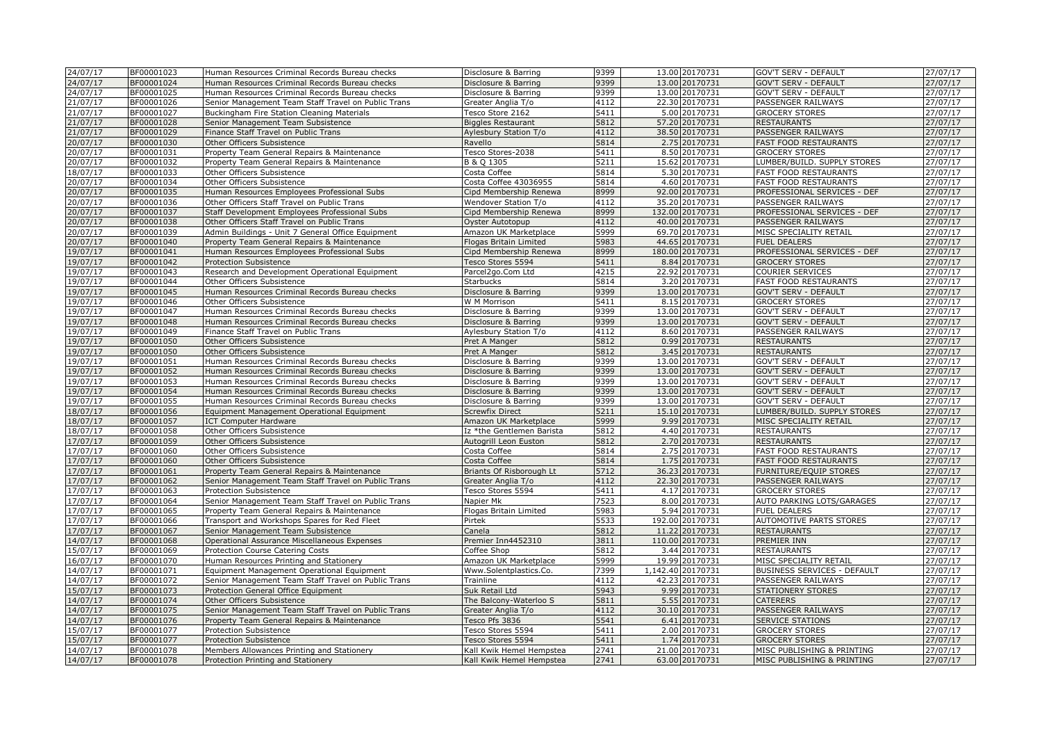| 24/07/17 | BF00001023 | Human Resources Criminal Records Bureau checks      | Disclosure & Barring      | 9399 | 13.00 20170731    | GOV'T SERV - DEFAULT         | 27/07/17 |
|----------|------------|-----------------------------------------------------|---------------------------|------|-------------------|------------------------------|----------|
| 24/07/17 | BF00001024 | Human Resources Criminal Records Bureau checks      | Disclosure & Barring      | 9399 | 13.00 20170731    | <b>GOV'T SERV - DEFAULT</b>  | 27/07/17 |
| 24/07/17 | BF00001025 | Human Resources Criminal Records Bureau checks      | Disclosure & Barring      | 9399 | 13.00 20170731    | <b>GOV'T SERV - DEFAULT</b>  | 27/07/17 |
| 21/07/17 | BF00001026 | Senior Management Team Staff Travel on Public Trans | Greater Anglia T/o        | 4112 | 22.30 20170731    | PASSENGER RAILWAYS           | 27/07/17 |
| 21/07/17 | BF00001027 | Buckingham Fire Station Cleaning Materials          | Tesco Store 2162          | 5411 | 5.00 20170731     | <b>GROCERY STORES</b>        | 27/07/17 |
| 21/07/17 | BF00001028 | Senior Management Team Subsistence                  | <b>Biggles Restaurant</b> | 5812 | 57.20 20170731    | <b>RESTAURANTS</b>           | 27/07/17 |
| 21/07/17 | BF00001029 | Finance Staff Travel on Public Trans                | Aylesbury Station T/o     | 4112 | 38.50 20170731    | PASSENGER RAILWAYS           | 27/07/17 |
| 20/07/17 | BF00001030 | Other Officers Subsistence                          | Ravello                   | 5814 | 2.75 20170731     | <b>FAST FOOD RESTAURANTS</b> | 27/07/17 |
| 20/07/17 | BF00001031 | Property Team General Repairs & Maintenance         | Tesco Stores-2038         | 5411 | 8.50 20170731     | <b>GROCERY STORES</b>        | 27/07/17 |
| 20/07/17 | BF00001032 | Property Team General Repairs & Maintenance         | B & Q 1305                | 5211 | 15.62 20170731    | LUMBER/BUILD. SUPPLY STORES  | 27/07/17 |
| 18/07/17 | BF00001033 | Other Officers Subsistence                          | Costa Coffee              | 5814 | 5.30 20170731     | <b>FAST FOOD RESTAURANTS</b> | 27/07/17 |
| 20/07/17 | BF00001034 | Other Officers Subsistence                          | Costa Coffee 43036955     | 5814 | 4.60 20170731     | <b>FAST FOOD RESTAURANTS</b> | 27/07/17 |
| 20/07/17 | BF00001035 | Human Resources Employees Professional Subs         | Cipd Membership Renewa    | 8999 | 92.00 20170731    | PROFESSIONAL SERVICES - DEF  | 27/07/17 |
| 20/07/17 | BF00001036 | Other Officers Staff Travel on Public Trans         | Wendover Station T/o      | 4112 | 35.20 20170731    | PASSENGER RAILWAYS           | 27/07/17 |
| 20/07/17 | BF00001037 | Staff Development Employees Professional Subs       | Cipd Membership Renewa    | 8999 | 132.00 20170731   | PROFESSIONAL SERVICES - DEF  | 27/07/17 |
| 20/07/17 | BF00001038 | Other Officers Staff Travel on Public Trans         | Oyster Autotopup          | 4112 | 40.00 20170731    | PASSENGER RAILWAYS           | 27/07/17 |
| 20/07/17 | BF00001039 | Admin Buildings - Unit 7 General Office Equipment   | Amazon UK Marketplace     | 5999 | 69.70 20170731    | MISC SPECIALITY RETAIL       | 27/07/17 |
| 20/07/17 | BF00001040 | Property Team General Repairs & Maintenance         | Flogas Britain Limited    | 5983 | 44.65 20170731    | <b>FUEL DEALERS</b>          | 27/07/17 |
| 19/07/17 | BF00001041 | Human Resources Employees Professional Subs         | Cipd Membership Renewa    | 8999 | 180.00 20170731   | PROFESSIONAL SERVICES - DEF  | 27/07/17 |
| 19/07/17 | BF00001042 | Protection Subsistence                              | Tesco Stores 5594         | 5411 | 8.84 20170731     | <b>GROCERY STORES</b>        | 27/07/17 |
| 19/07/17 | BF00001043 | Research and Development Operational Equipment      | Parcel2go.Com Ltd         | 4215 | 22.92 20170731    | <b>COURIER SERVICES</b>      | 27/07/17 |
| 19/07/17 | BF00001044 | Other Officers Subsistence                          | <b>Starbucks</b>          | 5814 | 3.20 20170731     | <b>FAST FOOD RESTAURANTS</b> | 27/07/17 |
| 19/07/17 | BF00001045 | Human Resources Criminal Records Bureau checks      | Disclosure & Barring      | 9399 | 13.00 20170731    | <b>GOV'T SERV - DEFAULT</b>  | 27/07/17 |
|          | BF00001046 |                                                     |                           | 5411 | 8.15 20170731     |                              |          |
| 19/07/17 | BF00001047 | Other Officers Subsistence                          | W M Morrison              | 9399 | 13.00 20170731    | <b>GROCERY STORES</b>        | 27/07/17 |
| 19/07/17 |            | Human Resources Criminal Records Bureau checks      | Disclosure & Barring      |      |                   | GOV'T SERV - DEFAULT         | 27/07/17 |
| 19/07/17 | BF00001048 | Human Resources Criminal Records Bureau checks      | Disclosure & Barring      | 9399 | 13.00 20170731    | <b>GOV'T SERV - DEFAULT</b>  | 27/07/17 |
| 19/07/17 | BF00001049 | Finance Staff Travel on Public Trans                | Aylesbury Station T/o     | 4112 | 8.60 20170731     | PASSENGER RAILWAYS           | 27/07/17 |
| 19/07/17 | BF00001050 | Other Officers Subsistence                          | Pret A Manger             | 5812 | 0.99 20170731     | <b>RESTAURANTS</b>           | 27/07/17 |
| 19/07/17 | BF00001050 | Other Officers Subsistence                          | Pret A Manger             | 5812 | 3.45 20170731     | <b>RESTAURANTS</b>           | 27/07/17 |
| 19/07/17 | BF00001051 | Human Resources Criminal Records Bureau checks      | Disclosure & Barring      | 9399 | 13.00 20170731    | GOV'T SERV - DEFAULT         | 27/07/17 |
| 19/07/17 | BF00001052 | Human Resources Criminal Records Bureau checks      | Disclosure & Barring      | 9399 | 13.00 20170731    | <b>GOV'T SERV - DEFAULT</b>  | 27/07/17 |
| 19/07/17 | BF00001053 | Human Resources Criminal Records Bureau checks      | Disclosure & Barring      | 9399 | 13.00 20170731    | GOV'T SERV - DEFAULT         | 27/07/17 |
| 19/07/17 | BF00001054 | Human Resources Criminal Records Bureau checks      | Disclosure & Barring      | 9399 | 13.00 20170731    | <b>GOV'T SERV - DEFAULT</b>  | 27/07/17 |
| 19/07/17 | BF00001055 | Human Resources Criminal Records Bureau checks      | Disclosure & Barring      | 9399 | 13.00 20170731    | GOV'T SERV - DEFAULT         | 27/07/17 |
| 18/07/17 | BF00001056 | Equipment Management Operational Equipment          | <b>Screwfix Direct</b>    | 5211 | 15.10 20170731    | LUMBER/BUILD. SUPPLY STORES  | 27/07/17 |
| 18/07/17 | BF00001057 | <b>ICT Computer Hardware</b>                        | Amazon UK Marketplace     | 5999 | 9.99 20170731     | MISC SPECIALITY RETAIL       | 27/07/17 |
| 18/07/17 | BF00001058 | Other Officers Subsistence                          | Iz *the Gentlemen Barista | 5812 | 4.40 20170731     | <b>RESTAURANTS</b>           | 27/07/17 |
| 17/07/17 | BF00001059 | Other Officers Subsistence                          | Autogrill Leon Euston     | 5812 | 2.70 20170731     | <b>RESTAURANTS</b>           | 27/07/17 |
| 17/07/17 | BF00001060 | Other Officers Subsistence                          | Costa Coffee              | 5814 | 2.75 20170731     | <b>FAST FOOD RESTAURANTS</b> | 27/07/17 |
| 17/07/17 | BF00001060 | Other Officers Subsistence                          | Costa Coffee              | 5814 | 1.75 20170731     | <b>FAST FOOD RESTAURANTS</b> | 27/07/17 |
| 17/07/17 | BF00001061 | Property Team General Repairs & Maintenance         | Briants Of Risborough Lt  | 5712 | 36.23 20170731    | FURNITURE/EQUIP STORES       | 27/07/17 |
| 17/07/17 | BF00001062 | Senior Management Team Staff Travel on Public Trans | Greater Anglia T/o        | 4112 | 22.30 20170731    | PASSENGER RAILWAYS           | 27/07/17 |
| 17/07/17 | BF00001063 | Protection Subsistence                              | Tesco Stores 5594         | 5411 | 4.17 20170731     | <b>GROCERY STORES</b>        | 27/07/17 |
| 17/07/17 | BF00001064 | Senior Management Team Staff Travel on Public Trans | Napier Mk                 | 7523 | 8.00 20170731     | AUTO PARKING LOTS/GARAGES    | 27/07/17 |
| 17/07/17 | BF00001065 | Property Team General Repairs & Maintenance         | Flogas Britain Limited    | 5983 | 5.94 20170731     | <b>FUEL DEALERS</b>          | 27/07/17 |
| 17/07/17 | BF00001066 | Transport and Workshops Spares for Red Fleet        | Pirtek                    | 5533 | 192.00 20170731   | AUTOMOTIVE PARTS STORES      | 27/07/17 |
| 17/07/17 | BF00001067 | Senior Management Team Subsistence                  | Canela                    | 5812 | 11.22 20170731    | <b>RESTAURANTS</b>           | 27/07/17 |
| 14/07/17 | BF00001068 | Operational Assurance Miscellaneous Expenses        | Premier Inn4452310        | 3811 | 110.00 20170731   | PREMIER INN                  | 27/07/17 |
| 15/07/17 | BF00001069 | Protection Course Catering Costs                    | Coffee Shop               | 5812 | 3.44 20170731     | <b>RESTAURANTS</b>           | 27/07/17 |
| 16/07/17 | BF00001070 | Human Resources Printing and Stationery             | Amazon UK Marketplace     | 5999 | 19.99 20170731    | MISC SPECIALITY RETAIL       | 27/07/17 |
| 14/07/17 | BF00001071 | Equipment Management Operational Equipment          | Www.Solentplastics.Co.    | 7399 | 1,142.40 20170731 | BUSINESS SERVICES - DEFAULT  | 27/07/17 |
| 14/07/17 | BF00001072 | Senior Management Team Staff Travel on Public Trans | Trainline                 | 4112 | 42.23 20170731    | PASSENGER RAILWAYS           | 27/07/17 |
| 15/07/17 | BF00001073 | Protection General Office Equipment                 | Suk Retail Ltd            | 5943 | 9.99 20170731     | <b>STATIONERY STORES</b>     | 27/07/17 |
| 14/07/17 | BF00001074 | Other Officers Subsistence                          | The Balcony-Waterloo S    | 5811 | 5.55 20170731     | <b>CATERERS</b>              | 27/07/17 |
| 14/07/17 | BF00001075 | Senior Management Team Staff Travel on Public Trans | Greater Anglia T/o        | 4112 | 30.10 20170731    | PASSENGER RAILWAYS           | 27/07/17 |
| 14/07/17 | BF00001076 | Property Team General Repairs & Maintenance         | Tesco Pfs 3836            | 5541 | 6.41 20170731     | <b>SERVICE STATIONS</b>      | 27/07/17 |
| 15/07/17 | BF00001077 | Protection Subsistence                              | Tesco Stores 5594         | 5411 | 2.00 20170731     | <b>GROCERY STORES</b>        | 27/07/17 |
| 15/07/17 | BF00001077 | <b>Protection Subsistence</b>                       | Tesco Stores 5594         | 5411 | 1.74 20170731     | <b>GROCERY STORES</b>        | 27/07/17 |
| 14/07/17 | BF00001078 | Members Allowances Printing and Stationery          | Kall Kwik Hemel Hempstea  | 2741 | 21.00 20170731    | MISC PUBLISHING & PRINTING   | 27/07/17 |
| 14/07/17 | BF00001078 | Protection Printing and Stationery                  | Kall Kwik Hemel Hempstea  | 2741 | 63.00 20170731    | MISC PUBLISHING & PRINTING   | 27/07/17 |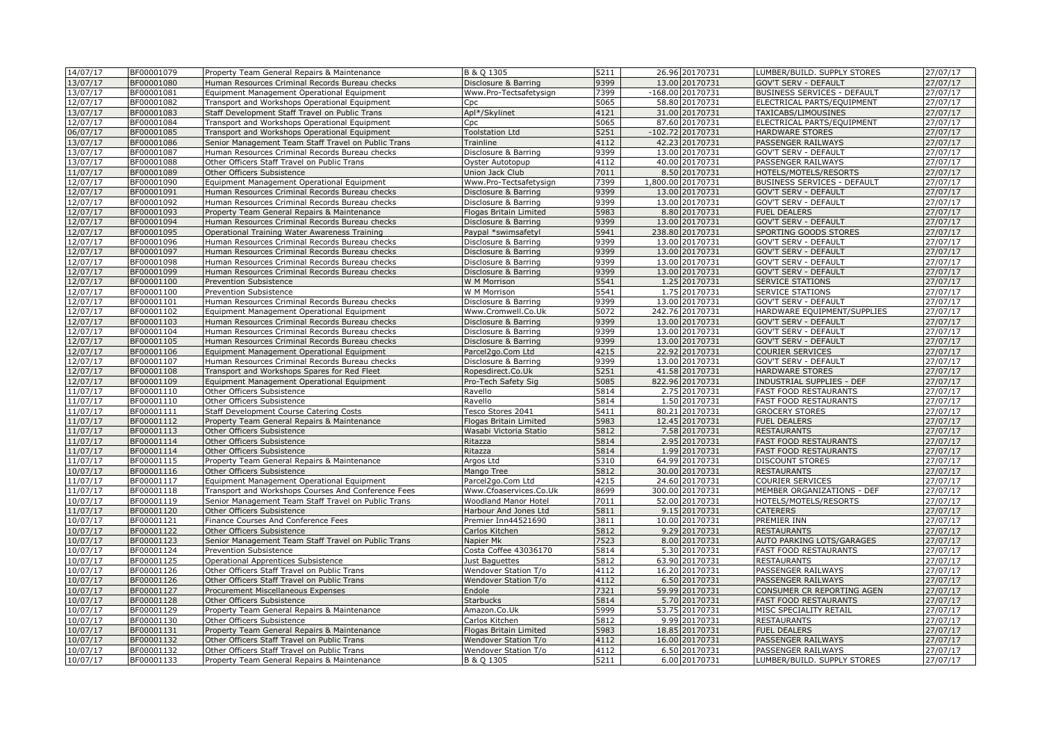| 14/07/17             | BF00001079               | Property Team General Repairs & Maintenance                                                | B & Q 1305                                     | 5211 | 26.96 20170731                  | LUMBER/BUILD. SUPPLY STORES                  | 27/07/17             |
|----------------------|--------------------------|--------------------------------------------------------------------------------------------|------------------------------------------------|------|---------------------------------|----------------------------------------------|----------------------|
| 13/07/17             | BF00001080               | Human Resources Criminal Records Bureau checks                                             | Disclosure & Barring                           | 9399 | 13.00 20170731                  | <b>GOV'T SERV - DEFAULT</b>                  | 27/07/17             |
| 13/07/17             | BF00001081               | Equipment Management Operational Equipment                                                 | Www.Pro-Tectsafetysign                         | 7399 | -168.00 20170731                | <b>BUSINESS SERVICES - DEFAULT</b>           | 27/07/17             |
| 12/07/17             | BF00001082               | Transport and Workshops Operational Equipment                                              | Cpc                                            | 5065 | 58.80 20170731                  | ELECTRICAL PARTS/EQUIPMENT                   | $\frac{1}{27}/07/17$ |
| 13/07/17             | BF00001083               | Staff Development Staff Travel on Public Trans                                             | Apl*/Skylinet                                  | 4121 | 31.00 20170731                  | TAXICABS/LIMOUSINES                          | 27/07/17             |
| 12/07/17             | BF00001084               | Transport and Workshops Operational Equipment                                              | Cpc                                            | 5065 | 87.60 20170731                  | ELECTRICAL PARTS/EQUIPMENT                   | 27/07/17             |
| 06/07/17             | BF00001085               | Transport and Workshops Operational Equipment                                              | <b>Toolstation Ltd</b>                         | 5251 | $-102.72$ 20170731              | <b>HARDWARE STORES</b>                       | 27/07/17             |
| 13/07/17             | BF00001086               | Senior Management Team Staff Travel on Public Trans                                        | Trainline                                      | 4112 | 42.23 20170731                  | PASSENGER RAILWAYS                           | 27/07/17             |
| 13/07/17             | BF00001087               | Human Resources Criminal Records Bureau checks                                             | Disclosure & Barring                           | 9399 | 13.00 20170731                  | GOV'T SERV - DEFAULT                         | 27/07/17             |
| 13/07/17             | BF00001088               | Other Officers Staff Travel on Public Trans                                                | Oyster Autotopup                               | 4112 | 40.00 20170731                  | PASSENGER RAILWAYS                           | 27/07/17             |
| 11/07/17             | BF00001089               | Other Officers Subsistence                                                                 | Union Jack Club                                | 7011 | 8.50 20170731                   | HOTELS/MOTELS/RESORTS                        | 27/07/17             |
| 12/07/17             | BF00001090               | Equipment Management Operational Equipment                                                 | Www.Pro-Tectsafetysign                         | 7399 | 1,800.00 20170731               | <b>BUSINESS SERVICES - DEFAULT</b>           | $\frac{27}{07/17}$   |
| 12/07/17             | BF00001091               | Human Resources Criminal Records Bureau checks                                             | Disclosure & Barring                           | 9399 | 13.00 20170731                  | GOV'T SERV - DEFAULT                         | 27/07/17             |
| 12/07/17             | BF00001092               | Human Resources Criminal Records Bureau checks                                             | Disclosure & Barring                           | 9399 | 13.00 20170731                  | <b>GOV'T SERV - DEFAULT</b>                  | 27/07/17             |
| 12/07/17             | BF00001093               | Property Team General Repairs & Maintenance                                                | Flogas Britain Limited                         | 5983 | 8.80 20170731                   | <b>FUEL DEALERS</b>                          | 27/07/17             |
| 12/07/17             | BF00001094               | Human Resources Criminal Records Bureau checks                                             | Disclosure & Barring                           | 9399 | 13.00 20170731                  | <b>GOV'T SERV - DEFAULT</b>                  | 27/07/17             |
| 12/07/17             | BF00001095               | Operational Training Water Awareness Training                                              | Paypal *swimsafetyl                            | 5941 | 238.80 20170731                 | SPORTING GOODS STORES                        | 27/07/17             |
| 12/07/17             | BF00001096               | Human Resources Criminal Records Bureau checks                                             | Disclosure & Barring                           | 9399 | 13.00 20170731                  | <b>GOV'T SERV - DEFAULT</b>                  | 27/07/17             |
| 12/07/17             | BF00001097               | Human Resources Criminal Records Bureau checks                                             | Disclosure & Barring                           | 9399 | 13.00 20170731                  | <b>GOV'T SERV - DEFAULT</b>                  | 27/07/17             |
| 12/07/17             | BF00001098               | Human Resources Criminal Records Bureau checks                                             | Disclosure & Barring                           | 9399 | 13.00 20170731                  | <b>GOV'T SERV - DEFAULT</b>                  | 27/07/17             |
| 12/07/17             | BF00001099               | Human Resources Criminal Records Bureau checks                                             | Disclosure & Barring                           | 9399 | 13.00 20170731                  | <b>GOV'T SERV - DEFAULT</b>                  | 27/07/17             |
| 12/07/17             | BF00001100               | <b>Prevention Subsistence</b>                                                              | W M Morrison                                   | 5541 | 1.25 20170731                   | <b>SERVICE STATIONS</b>                      | 27/07/17             |
| 12/07/17             | BF00001100               | Prevention Subsistence                                                                     | W M Morrison                                   | 5541 | 1.75 20170731                   | <b>SERVICE STATIONS</b>                      | 27/07/17             |
| 12/07/17             | BF00001101               | Human Resources Criminal Records Bureau checks                                             | Disclosure & Barring                           | 9399 | 13.00 20170731                  | GOV'T SERV - DEFAULT                         | 27/07/17             |
| 12/07/17             | BF00001102               | Equipment Management Operational Equipment                                                 | Www.Cromwell.Co.Uk                             | 5072 | 242.76 20170731                 | HARDWARE EQUIPMENT/SUPPLIES                  | 27/07/17             |
| 12/07/17             | BF00001103               | Human Resources Criminal Records Bureau checks                                             | Disclosure & Barring                           | 9399 | 13.00 20170731                  | <b>GOV'T SERV - DEFAULT</b>                  | 27/07/17             |
| 12/07/17             | BF00001104               | Human Resources Criminal Records Bureau checks                                             | Disclosure & Barring                           | 9399 | 13.00 20170731                  | <b>GOV'T SERV - DEFAULT</b>                  | 27/07/17             |
| 12/07/17             | BF00001105               | Human Resources Criminal Records Bureau checks                                             | Disclosure & Barring                           | 9399 | 13.00 20170731                  | <b>GOV'T SERV - DEFAULT</b>                  | 27/07/17             |
| 12/07/17             | BF00001106               | Equipment Management Operational Equipment                                                 | Parcel2go.Com Ltd                              | 4215 | 22.92 20170731                  | <b>COURIER SERVICES</b>                      | 27/07/17             |
| 12/07/17             | BF00001107               | Human Resources Criminal Records Bureau checks                                             | Disclosure & Barring                           | 9399 | 13.00 20170731                  | GOV'T SERV - DEFAULT                         | 27/07/17             |
| 12/07/17             | BF00001108               | Transport and Workshops Spares for Red Fleet                                               | Ropesdirect.Co.Uk                              | 5251 | 41.58 20170731                  | <b>HARDWARE STORES</b>                       | 27/07/17             |
| 12/07/17             | BF00001109               | Equipment Management Operational Equipment                                                 | Pro-Tech Safety Sig                            | 5085 | 822.96 20170731                 | INDUSTRIAL SUPPLIES - DEF                    | 27/07/17             |
| 11/07/17             | BF00001110               | Other Officers Subsistence                                                                 | Ravello                                        | 5814 | 2.75 20170731                   | <b>FAST FOOD RESTAURANTS</b>                 | 27/07/17             |
| 11/07/17             | BF00001110               | Other Officers Subsistence                                                                 | Ravello                                        | 5814 | 1.50 20170731                   | <b>FAST FOOD RESTAURANTS</b>                 | 27/07/17             |
| 11/07/17             | BF00001111               | Staff Development Course Catering Costs                                                    | Tesco Stores 2041                              | 5411 | 80.21 20170731                  | <b>GROCERY STORES</b>                        | 27/07/17             |
| 11/07/17             | BF00001112               | Property Team General Repairs & Maintenance                                                | Flogas Britain Limited                         | 5983 | 12.45 20170731                  | <b>FUEL DEALERS</b>                          | 27/07/17             |
| 11/07/17             | BF00001113               | Other Officers Subsistence                                                                 | Wasabi Victoria Statio                         | 5812 | 7.58 20170731                   | <b>RESTAURANTS</b>                           | 27/07/17             |
| 11/07/17             | BF00001114               | Other Officers Subsistence                                                                 | Ritazza                                        | 5814 | 2.95 20170731                   | <b>FAST FOOD RESTAURANTS</b>                 | 27/07/17             |
| 11/07/17             | BF00001114               | Other Officers Subsistence                                                                 | Ritazza                                        | 5814 | 1.99 20170731                   | <b>FAST FOOD RESTAURANTS</b>                 | 27/07/17             |
| 11/07/17             | BF00001115               | Property Team General Repairs & Maintenance                                                | Argos Ltd                                      | 5310 | 64.99 20170731                  | <b>DISCOUNT STORES</b>                       | 27/07/17             |
| 10/07/17             | BF00001116               | Other Officers Subsistence                                                                 | Mango Tree                                     | 5812 | 30.00 20170731                  | <b>RESTAURANTS</b>                           | 27/07/17             |
| 11/07/17             | BF00001117               | Equipment Management Operational Equipment                                                 | Parcel2go.Com Ltd                              | 4215 | 24.60 20170731                  | COURIER SERVICES                             | 27/07/17             |
| 11/07/17             | BF00001118               | Transport and Workshops Courses And Conference Fees                                        | Www.Cfoaservices.Co.Uk                         | 8699 | 300.00 20170731                 | MEMBER ORGANIZATIONS - DEF                   | 27/07/17             |
| 10/07/17             | BF00001119               | Senior Management Team Staff Travel on Public Trans                                        | Woodland Manor Hotel                           | 7011 | 52.00 20170731                  | HOTELS/MOTELS/RESORTS                        | 27/07/17             |
| 11/07/17             | BF00001120               | Other Officers Subsistence                                                                 | Harbour And Jones Ltd                          | 5811 | 9.15 20170731                   | <b>CATERERS</b>                              | 27/07/17             |
| 10/07/17             | BF00001121               | Finance Courses And Conference Fees                                                        | Premier Inn44521690                            | 3811 | 10.00 20170731                  | PREMIER INN                                  | 27/07/17             |
| 10/07/17             | BF00001122               | Other Officers Subsistence                                                                 | Carlos Kitchen                                 | 5812 | 9.29 20170731                   | <b>RESTAURANTS</b>                           | 27/07/17             |
| 10/07/17             | BF00001123               | Senior Management Team Staff Travel on Public Trans                                        | Napier Mk                                      | 7523 | 8.00 20170731                   | AUTO PARKING LOTS/GARAGES                    | 27/07/17             |
| 10/07/17             | BF00001124               | Prevention Subsistence                                                                     | Costa Coffee 43036170                          | 5814 | 5.30 20170731                   | <b>FAST FOOD RESTAURANTS</b>                 | 27/07/17             |
| 10/07/17             | BF00001125               | Operational Apprentices Subsistence                                                        | Just Baquettes                                 | 5812 | 63.90 20170731                  | <b>RESTAURANTS</b>                           | 27/07/17             |
| 10/07/17             | BF00001126               | Other Officers Staff Travel on Public Trans                                                |                                                | 4112 | 16.20 20170731                  | PASSENGER RAILWAYS                           | 27/07/17             |
| 10/07/17             | BF00001126               | Other Officers Staff Travel on Public Trans                                                | Wendover Station T/o<br>Wendover Station T/o   | 4112 | 6.50 20170731                   | PASSENGER RAILWAYS                           | 27/07/17             |
| 10/07/17             | BF00001127               |                                                                                            | Endole                                         | 7321 | 59.99 20170731                  | CONSUMER CR REPORTING AGEN                   | 27/07/17             |
| 10/07/17             | BF00001128               | Procurement Miscellaneous Expenses<br>Other Officers Subsistence                           | <b>Starbucks</b>                               | 5814 | 5.70 20170731                   | <b>FAST FOOD RESTAURANTS</b>                 | 27/07/17             |
|                      |                          |                                                                                            |                                                | 5999 |                                 |                                              |                      |
| 10/07/17<br>10/07/17 | BF00001129<br>BF00001130 | Property Team General Repairs & Maintenance<br>Other Officers Subsistence                  | Amazon.Co.Uk<br>Carlos Kitchen                 | 5812 | 53.75 20170731<br>9.99 20170731 | MISC SPECIALITY RETAIL<br><b>RESTAURANTS</b> | 27/07/17<br>27/07/17 |
| 10/07/17             | BF00001131               |                                                                                            |                                                | 5983 | 18.85 20170731                  | <b>FUEL DEALERS</b>                          | 27/07/17             |
| 10/07/17             | BF00001132               | Property Team General Repairs & Maintenance<br>Other Officers Staff Travel on Public Trans | Flogas Britain Limited<br>Wendover Station T/o | 4112 | 16.00 20170731                  | PASSENGER RAILWAYS                           | 27/07/17             |
| 10/07/17             | BF00001132               |                                                                                            | Wendover Station T/o                           | 4112 | 6.50 20170731                   | PASSENGER RAILWAYS                           | 27/07/17             |
| 10/07/17             | BF00001133               | Other Officers Staff Travel on Public Trans                                                |                                                | 5211 | 6.00 20170731                   | LUMBER/BUILD. SUPPLY STORES                  | 27/07/17             |
|                      |                          | Property Team General Repairs & Maintenance                                                | B & Q 1305                                     |      |                                 |                                              |                      |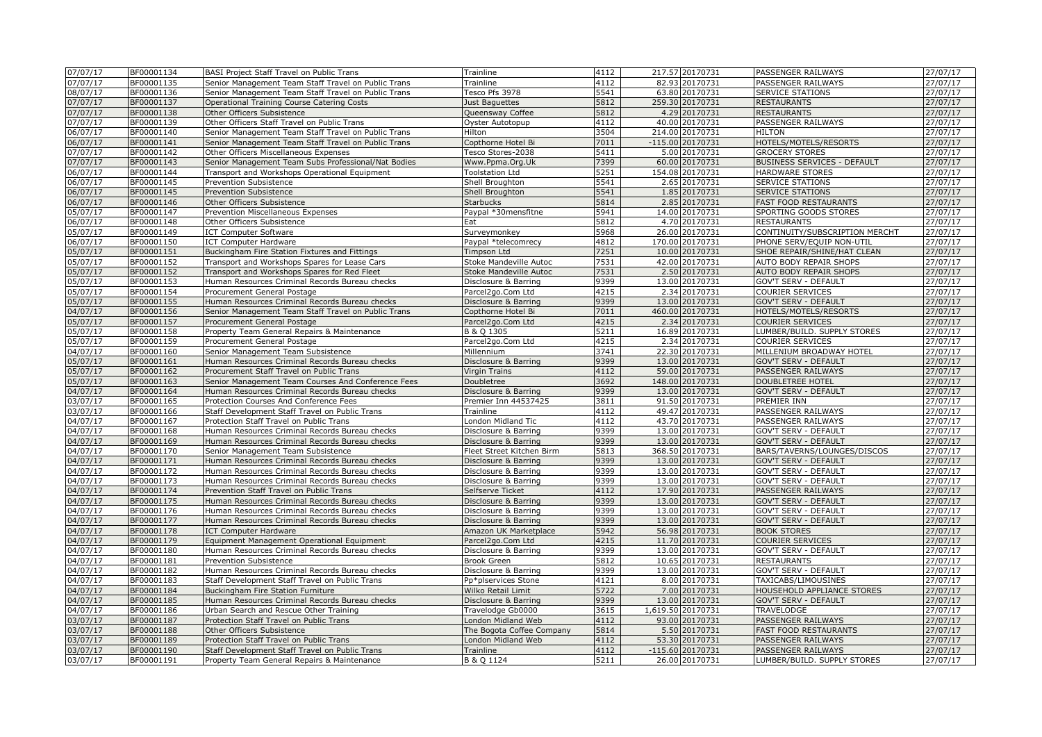| 07/07/17 | BF00001134 | BASI Project Staff Travel on Public Trans           | Trainline                 | 4112 | 217.57 20170731   | PASSENGER RAILWAYS             | 27/07/17             |
|----------|------------|-----------------------------------------------------|---------------------------|------|-------------------|--------------------------------|----------------------|
| 07/07/17 | BF00001135 | Senior Management Team Staff Travel on Public Trans | Trainline                 | 4112 | 82.93 20170731    | PASSENGER RAILWAYS             | 27/07/17             |
| 08/07/17 | BF00001136 | Senior Management Team Staff Travel on Public Trans | Tesco Pfs 3978            | 5541 | 63.80 20170731    | <b>SERVICE STATIONS</b>        | 27/07/17             |
| 07/07/17 | BF00001137 | Operational Training Course Catering Costs          | Just Baguettes            | 5812 | 259.30 20170731   | <b>RESTAURANTS</b>             | 27/07/17             |
| 07/07/17 | BF00001138 | Other Officers Subsistence                          | Queensway Coffee          | 5812 | 4.29 20170731     | <b>RESTAURANTS</b>             | 27/07/17             |
| 07/07/17 | BF00001139 | Other Officers Staff Travel on Public Trans         | Oyster Autotopup          | 4112 | 40.00 20170731    | PASSENGER RAILWAYS             | 27/07/17             |
| 06/07/17 | BF00001140 | Senior Management Team Staff Travel on Public Trans | Hilton                    | 3504 | 214.00 20170731   | <b>HILTON</b>                  | 27/07/17             |
| 06/07/17 | BF00001141 | Senior Management Team Staff Travel on Public Trans | Copthorne Hotel Bi        | 7011 | -115.00 20170731  | HOTELS/MOTELS/RESORTS          | 27/07/17             |
| 07/07/17 | BF00001142 | Other Officers Miscellaneous Expenses               | Tesco Stores-2038         | 5411 | 5.00 20170731     | <b>GROCERY STORES</b>          | 27/07/17             |
| 07/07/17 | BF00001143 | Senior Management Team Subs Professional/Nat Bodies | Www.Ppma.Org.Uk           | 7399 | 60.00 20170731    | BUSINESS SERVICES - DEFAULT    | 27/07/17             |
| 06/07/17 | BF00001144 | Transport and Workshops Operational Equipment       | <b>Toolstation Ltd</b>    | 5251 | 154.08 20170731   | <b>HARDWARE STORES</b>         | 27/07/17             |
| 06/07/17 | BF00001145 | Prevention Subsistence                              | Shell Broughton           | 5541 | 2.65 20170731     | SERVICE STATIONS               | $\frac{1}{27}/07/17$ |
| 06/07/17 | BF00001145 | <b>Prevention Subsistence</b>                       | Shell Broughton           | 5541 | 1.85 20170731     | <b>SERVICE STATIONS</b>        | 27/07/17             |
| 06/07/17 |            |                                                     |                           | 5814 |                   |                                | 27/07/17             |
|          | BF00001146 | Other Officers Subsistence                          | <b>Starbucks</b>          |      | 2.85 20170731     | <b>FAST FOOD RESTAURANTS</b>   |                      |
| 05/07/17 | BF00001147 | Prevention Miscellaneous Expenses                   | Paypal *30mensfitne       | 5941 | 14.00 20170731    | SPORTING GOODS STORES          | 27/07/17             |
| 06/07/17 | BF00001148 | Other Officers Subsistence                          | Eat                       | 5812 | 4.70 20170731     | <b>RESTAURANTS</b>             | 27/07/17             |
| 05/07/17 | BF00001149 | <b>ICT Computer Software</b>                        | Surveymonkey              | 5968 | 26.00 20170731    | CONTINUITY/SUBSCRIPTION MERCHT | 27/07/17             |
| 06/07/17 | BF00001150 | <b>ICT Computer Hardware</b>                        | Paypal *telecomrecy       | 4812 | 170.00 20170731   | PHONE SERV/EQUIP NON-UTIL      | 27/07/17             |
| 05/07/17 | BF00001151 | Buckingham Fire Station Fixtures and Fittings       | Timpson Ltd               | 7251 | 10.00 20170731    | SHOE REPAIR/SHINE/HAT CLEAN    | 27/07/17             |
| 05/07/17 | BF00001152 | Transport and Workshops Spares for Lease Cars       | Stoke Mandeville Autoc    | 7531 | 42.00 20170731    | AUTO BODY REPAIR SHOPS         | 27/07/17             |
| 05/07/17 | BF00001152 | Transport and Workshops Spares for Red Fleet        | Stoke Mandeville Autoc    | 7531 | 2.50 20170731     | AUTO BODY REPAIR SHOPS         | 27/07/17             |
| 05/07/17 | BF00001153 | Human Resources Criminal Records Bureau checks      | Disclosure & Barring      | 9399 | 13.00 20170731    | GOV'T SERV - DEFAULT           | 27/07/17             |
| 05/07/17 | BF00001154 | Procurement General Postage                         | Parcel2go.Com Ltd         | 4215 | 2.34 20170731     | <b>COURIER SERVICES</b>        | 27/07/17             |
| 05/07/17 | BF00001155 | Human Resources Criminal Records Bureau checks      | Disclosure & Barring      | 9399 | 13.00 20170731    | <b>GOV'T SERV - DEFAULT</b>    | 27/07/17             |
| 04/07/17 | BF00001156 | Senior Management Team Staff Travel on Public Trans | Copthorne Hotel Bi        | 7011 | 460.00 20170731   | HOTELS/MOTELS/RESORTS          | 27/07/17             |
| 05/07/17 | BF00001157 | Procurement General Postage                         | Parcel2go.Com Ltd         | 4215 | 2.34 20170731     | <b>COURIER SERVICES</b>        | 27/07/17             |
| 05/07/17 | BF00001158 | Property Team General Repairs & Maintenance         | B & Q 1305                | 5211 | 16.89 20170731    | LUMBER/BUILD. SUPPLY STORES    | 27/07/17             |
| 05/07/17 | BF00001159 | Procurement General Postage                         | Parcel2go.Com Ltd         | 4215 | 2.34 20170731     | <b>COURIER SERVICES</b>        | 27/07/17             |
| 04/07/17 | BF00001160 | Senior Management Team Subsistence                  | Millennium                | 3741 | 22.30 20170731    | MILLENIUM BROADWAY HOTEL       | 27/07/17             |
| 05/07/17 | BF00001161 | Human Resources Criminal Records Bureau checks      | Disclosure & Barring      | 9399 | 13.00 20170731    | <b>GOV'T SERV - DEFAULT</b>    | 27/07/17             |
| 05/07/17 | BF00001162 | Procurement Staff Travel on Public Trans            | Virgin Trains             | 4112 | 59.00 20170731    | PASSENGER RAILWAYS             | 27/07/17             |
| 05/07/17 | BF00001163 | Senior Management Team Courses And Conference Fees  | Doubletree                | 3692 | 148.00 20170731   | <b>DOUBLETREE HOTEL</b>        | 27/07/17             |
| 04/07/17 | BF00001164 | Human Resources Criminal Records Bureau checks      | Disclosure & Barring      | 9399 | 13.00 20170731    | <b>GOV'T SERV - DEFAULT</b>    | 27/07/17             |
| 03/07/17 | BF00001165 | Protection Courses And Conference Fees              | Premier Inn 44537425      | 3811 | 91.50 20170731    | PREMIER INN                    | 27/07/17             |
| 03/07/17 | BF00001166 | Staff Development Staff Travel on Public Trans      | Trainline                 | 4112 | 49.47 20170731    | PASSENGER RAILWAYS             | 27/07/17             |
| 04/07/17 | BF00001167 | Protection Staff Travel on Public Trans             | London Midland Tic        | 4112 | 43.70 20170731    | PASSENGER RAILWAYS             | 27/07/17             |
| 04/07/17 | BF00001168 | Human Resources Criminal Records Bureau checks      | Disclosure & Barring      | 9399 | 13.00 20170731    | GOV'T SERV - DEFAULT           | 27/07/17             |
| 04/07/17 | BF00001169 | Human Resources Criminal Records Bureau checks      | Disclosure & Barring      | 9399 | 13.00 20170731    | GOV'T SERV - DEFAULT           | 27/07/17             |
| 04/07/17 | BF00001170 | Senior Management Team Subsistence                  | Fleet Street Kitchen Birm | 5813 | 368.50 20170731   | BARS/TAVERNS/LOUNGES/DISCOS    | 27/07/17             |
|          | BF00001171 |                                                     |                           | 9399 | 13.00 20170731    |                                |                      |
| 04/07/17 |            | Human Resources Criminal Records Bureau checks      | Disclosure & Barring      | 9399 |                   | <b>GOV'T SERV - DEFAULT</b>    | 27/07/17             |
| 04/07/17 | BF00001172 | Human Resources Criminal Records Bureau checks      | Disclosure & Barring      |      | 13.00 20170731    | GOV'T SERV - DEFAULT           | 27/07/17             |
| 04/07/17 | BF00001173 | Human Resources Criminal Records Bureau checks      | Disclosure & Barring      | 9399 | 13.00 20170731    | GOV'T SERV - DEFAULT           | 27/07/17             |
| 04/07/17 | BF00001174 | Prevention Staff Travel on Public Trans             | Selfserve Ticket          | 4112 | 17.90 20170731    | PASSENGER RAILWAYS             | 27/07/17             |
| 04/07/17 | BF00001175 | Human Resources Criminal Records Bureau checks      | Disclosure & Barring      | 9399 | 13.00 20170731    | <b>GOV'T SERV - DEFAULT</b>    | 27/07/17             |
| 04/07/17 | BF00001176 | Human Resources Criminal Records Bureau checks      | Disclosure & Barring      | 9399 | 13.00 20170731    | GOV'T SERV - DEFAULT           | 27/07/17             |
| 04/07/17 | BF00001177 | Human Resources Criminal Records Bureau checks      | Disclosure & Barring      | 9399 | 13.00 20170731    | <b>GOV'T SERV - DEFAULT</b>    | 27/07/17             |
| 04/07/17 | BF00001178 | <b>ICT Computer Hardware</b>                        | Amazon UK Marketplace     | 5942 | 56.98 20170731    | <b>BOOK STORES</b>             | 27/07/17             |
| 04/07/17 | BF00001179 | Equipment Management Operational Equipment          | Parcel2go.Com Ltd         | 4215 | 11.70 20170731    | COURIER SERVICES               | 27/07/17             |
| 04/07/17 | BF00001180 | Human Resources Criminal Records Bureau checks      | Disclosure & Barring      | 9399 | 13.00 20170731    | GOV'T SERV - DEFAULT           | 27/07/17             |
| 04/07/17 | BF00001181 | Prevention Subsistence                              | Brook Green               | 5812 | 10.65 20170731    | <b>RESTAURANTS</b>             | 27/07/17             |
| 04/07/17 | BF00001182 | Human Resources Criminal Records Bureau checks      | Disclosure & Barring      | 9399 | 13.00 20170731    | GOV'T SERV - DEFAULT           | 27/07/17             |
| 04/07/17 | BF00001183 | Staff Development Staff Travel on Public Trans      | Pp*plservices Stone       | 4121 | 8.00 20170731     | TAXICABS/LIMOUSINES            | 27/07/17             |
| 04/07/17 | BF00001184 | Buckingham Fire Station Furniture                   | Wilko Retail Limit        | 5722 | 7.00 20170731     | HOUSEHOLD APPLIANCE STORES     | 27/07/17             |
| 04/07/17 | BF00001185 | Human Resources Criminal Records Bureau checks      | Disclosure & Barring      | 9399 | 13.00 20170731    | <b>GOV'T SERV - DEFAULT</b>    | 27/07/17             |
| 04/07/17 | BF00001186 | Urban Search and Rescue Other Training              | Travelodge Gb0000         | 3615 | 1,619.50 20170731 | TRAVELODGE                     | 27/07/17             |
| 03/07/17 | BF00001187 | Protection Staff Travel on Public Trans             | London Midland Web        | 4112 | 93.00 20170731    | PASSENGER RAILWAYS             | 27/07/17             |
| 03/07/17 | BF00001188 | Other Officers Subsistence                          | The Bogota Coffee Company | 5814 | 5.50 20170731     | <b>FAST FOOD RESTAURANTS</b>   | 27/07/17             |
| 03/07/17 | BF00001189 | Protection Staff Travel on Public Trans             | London Midland Web        | 4112 | 53.30 20170731    | PASSENGER RAILWAYS             | 27/07/17             |
| 03/07/17 | BF00001190 | Staff Development Staff Travel on Public Trans      | Trainline                 | 4112 | -115.60 20170731  | PASSENGER RAILWAYS             | 27/07/17             |
| 03/07/17 | BF00001191 | Property Team General Repairs & Maintenance         | B & Q 1124                | 5211 | 26.00 20170731    | LUMBER/BUILD. SUPPLY STORES    | 27/07/17             |
|          |            |                                                     |                           |      |                   |                                |                      |